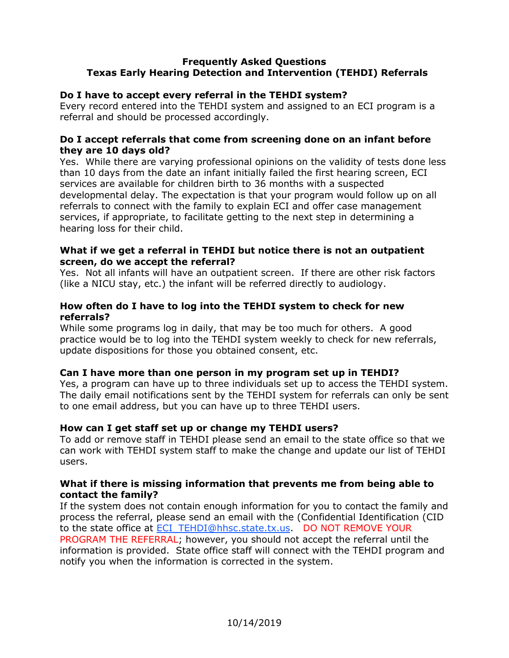# **Frequently Asked Questions Texas Early Hearing Detection and Intervention (TEHDI) Referrals**

# **Do I have to accept every referral in the TEHDI system?**

Every record entered into the TEHDI system and assigned to an ECI program is a referral and should be processed accordingly.

### **Do I accept referrals that come from screening done on an infant before they are 10 days old?**

Yes. While there are varying professional opinions on the validity of tests done less than 10 days from the date an infant initially failed the first hearing screen, ECI services are available for children birth to 36 months with a suspected developmental delay. The expectation is that your program would follow up on all referrals to connect with the family to explain ECI and offer case management services, if appropriate, to facilitate getting to the next step in determining a hearing loss for their child.

### **What if we get a referral in TEHDI but notice there is not an outpatient screen, do we accept the referral?**

Yes. Not all infants will have an outpatient screen. If there are other risk factors (like a NICU stay, etc.) the infant will be referred directly to audiology.

# **How often do I have to log into the TEHDI system to check for new referrals?**

While some programs log in daily, that may be too much for others. A good practice would be to log into the TEHDI system weekly to check for new referrals, update dispositions for those you obtained consent, etc.

# **Can I have more than one person in my program set up in TEHDI?**

Yes, a program can have up to three individuals set up to access the TEHDI system. The daily email notifications sent by the TEHDI system for referrals can only be sent to one email address, but you can have up to three TEHDI users.

# **How can I get staff set up or change my TEHDI users?**

To add or remove staff in TEHDI please send an email to the state office so that we can work with TEHDI system staff to make the change and update our list of TEHDI users.

#### **What if there is missing information that prevents me from being able to contact the family?**

If the system does not contain enough information for you to contact the family and process the referral, please send an email with the (Confidential Identification (CID to the state office at [ECI\\_TEHDI@hhsc.state.tx.us.](mailto:ECI_TEHDI@hhsc.state.tx.us) DO NOT REMOVE YOUR PROGRAM THE REFERRAL; however, you should not accept the referral until the information is provided. State office staff will connect with the TEHDI program and notify you when the information is corrected in the system.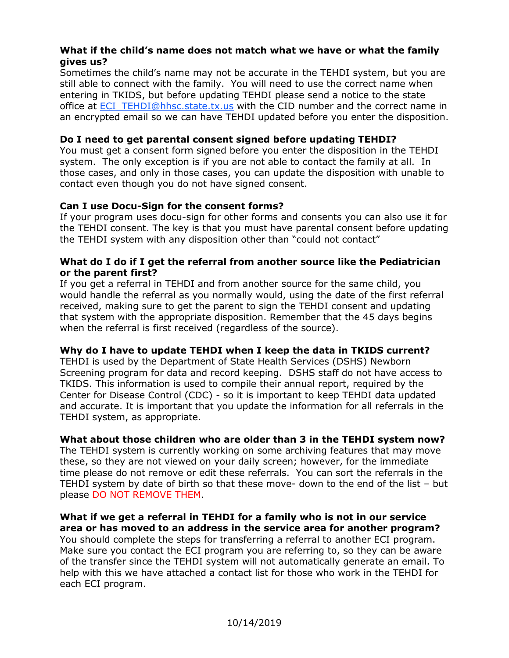### **What if the child's name does not match what we have or what the family gives us?**

Sometimes the child's name may not be accurate in the TEHDI system, but you are still able to connect with the family. You will need to use the correct name when entering in TKIDS, but before updating TEHDI please send a notice to the state office at **ECI\_TEHDI@hhsc.state.tx.us** with the CID number and the correct name in an encrypted email so we can have TEHDI updated before you enter the disposition.

# **Do I need to get parental consent signed before updating TEHDI?**

You must get a consent form signed before you enter the disposition in the TEHDI system. The only exception is if you are not able to contact the family at all. In those cases, and only in those cases, you can update the disposition with unable to contact even though you do not have signed consent.

#### **Can I use Docu-Sign for the consent forms?**

If your program uses docu-sign for other forms and consents you can also use it for the TEHDI consent. The key is that you must have parental consent before updating the TEHDI system with any disposition other than "could not contact"

#### **What do I do if I get the referral from another source like the Pediatrician or the parent first?**

If you get a referral in TEHDI and from another source for the same child, you would handle the referral as you normally would, using the date of the first referral received, making sure to get the parent to sign the TEHDI consent and updating that system with the appropriate disposition. Remember that the 45 days begins when the referral is first received (regardless of the source).

#### **Why do I have to update TEHDI when I keep the data in TKIDS current?**

TEHDI is used by the Department of State Health Services (DSHS) Newborn Screening program for data and record keeping. DSHS staff do not have access to TKIDS. This information is used to compile their annual report, required by the Center for Disease Control (CDC) - so it is important to keep TEHDI data updated and accurate. It is important that you update the information for all referrals in the TEHDI system, as appropriate.

# **What about those children who are older than 3 in the TEHDI system now?**

The TEHDI system is currently working on some archiving features that may move these, so they are not viewed on your daily screen; however, for the immediate time please do not remove or edit these referrals. You can sort the referrals in the TEHDI system by date of birth so that these move- down to the end of the list – but please DO NOT REMOVE THEM.

#### **What if we get a referral in TEHDI for a family who is not in our service area or has moved to an address in the service area for another program?**

You should complete the steps for transferring a referral to another ECI program. Make sure you contact the ECI program you are referring to, so they can be aware of the transfer since the TEHDI system will not automatically generate an email. To help with this we have attached a contact list for those who work in the TEHDI for each ECI program.